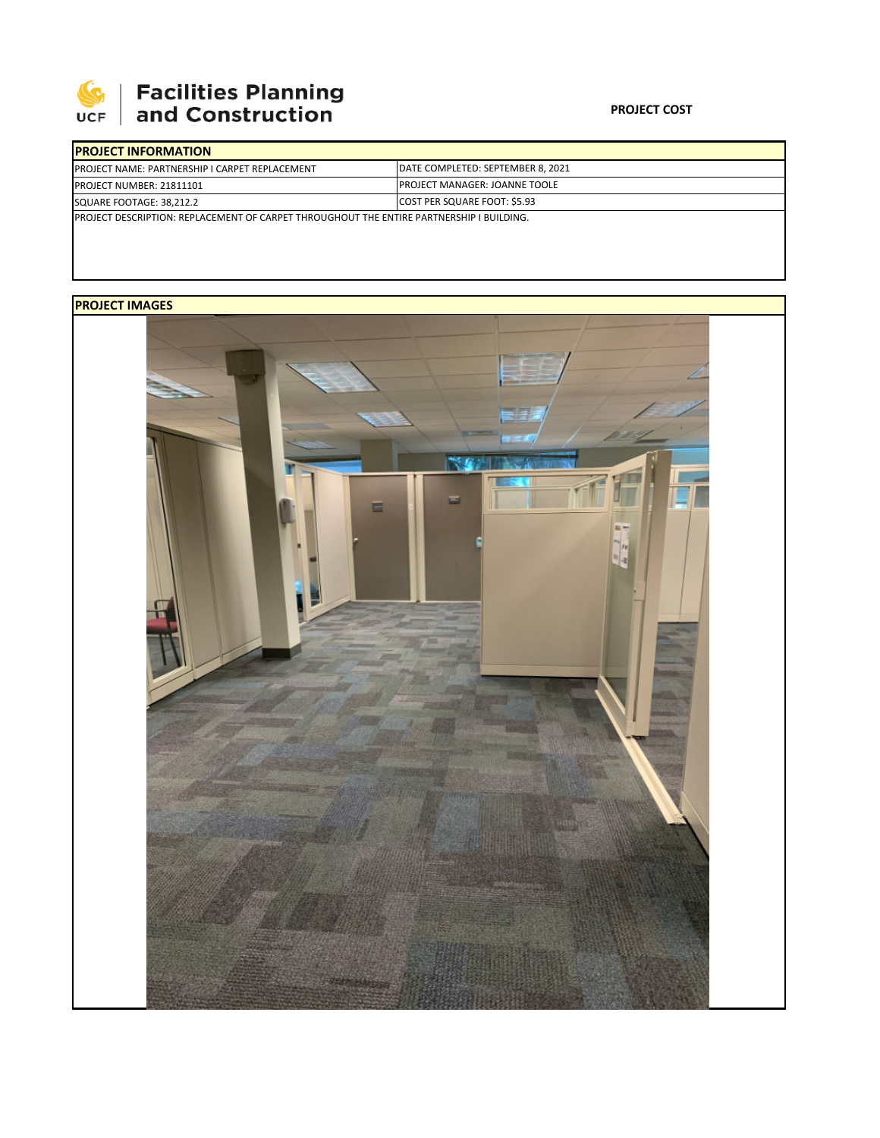

## | Facilities Planning<br>| and Construction

## **PROJECT COST**

| <b>IPROJECT INFORMATION</b>                                                                      |                                       |  |  |  |  |  |
|--------------------------------------------------------------------------------------------------|---------------------------------------|--|--|--|--|--|
| <b>PROJECT NAME: PARTNERSHIP I CARPET REPLACEMENT</b>                                            | DATE COMPLETED: SEPTEMBER 8, 2021     |  |  |  |  |  |
| <b>PROJECT NUMBER: 21811101</b>                                                                  | <b>IPROJECT MANAGER: JOANNE TOOLE</b> |  |  |  |  |  |
| COST PER SQUARE FOOT: \$5.93<br>SQUARE FOOTAGE: 38.212.2                                         |                                       |  |  |  |  |  |
| <b>IPROJECT DESCRIPTION: REPLACEMENT OF CARPET THROUGHOUT THE ENTIRE PARTNERSHIP I BUILDING.</b> |                                       |  |  |  |  |  |

## **PROJECT IMAGES**